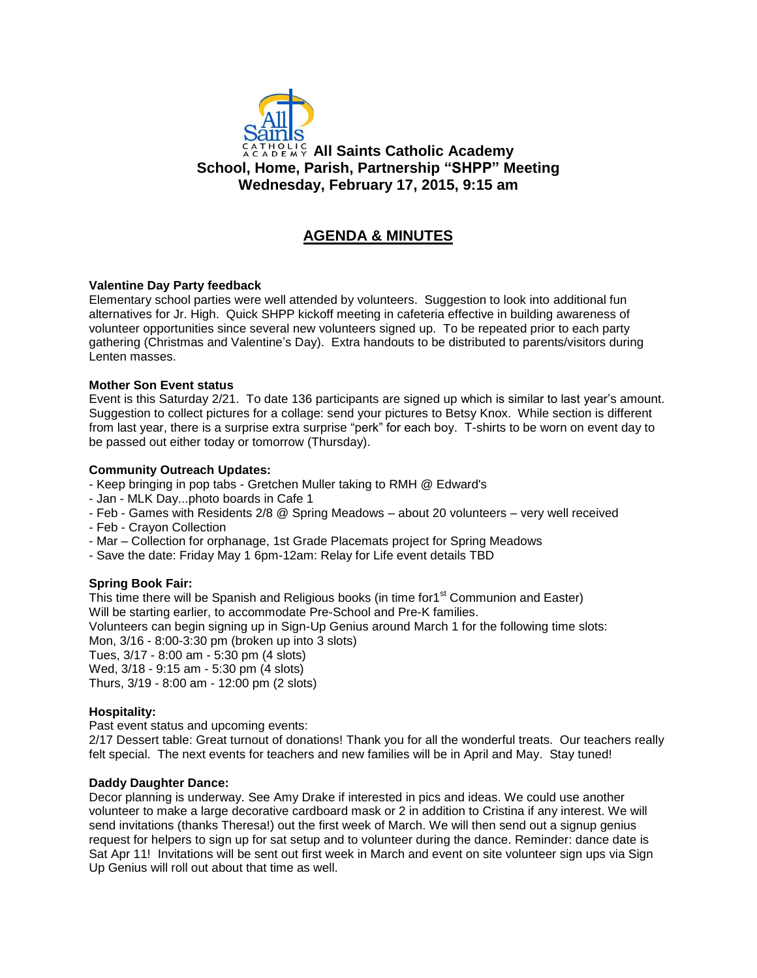

## **All Saints Catholic Academy School, Home, Parish, Partnership "SHPP" Meeting Wednesday, February 17, 2015, 9:15 am**

# **AGENDA & MINUTES**

## **Valentine Day Party feedback**

Elementary school parties were well attended by volunteers. Suggestion to look into additional fun alternatives for Jr. High. Quick SHPP kickoff meeting in cafeteria effective in building awareness of volunteer opportunities since several new volunteers signed up. To be repeated prior to each party gathering (Christmas and Valentine's Day). Extra handouts to be distributed to parents/visitors during Lenten masses.

#### **Mother Son Event status**

Event is this Saturday 2/21. To date 136 participants are signed up which is similar to last year's amount. Suggestion to collect pictures for a collage: send your pictures to Betsy Knox. While section is different from last year, there is a surprise extra surprise "perk" for each boy. T-shirts to be worn on event day to be passed out either today or tomorrow (Thursday).

#### **Community Outreach Updates:**

- Keep bringing in pop tabs - Gretchen Muller taking to RMH @ Edward's

- Jan MLK Day...photo boards in Cafe 1
- Feb Games with Residents 2/8 @ Spring Meadows about 20 volunteers very well received
- Feb Crayon Collection
- Mar Collection for orphanage, 1st Grade Placemats project for Spring Meadows
- Save the date: Friday May 1 6pm-12am: Relay for Life event details TBD

## **Spring Book Fair:**

This time there will be Spanish and Religious books (in time for1<sup>st</sup> Communion and Easter) Will be starting earlier, to accommodate Pre-School and Pre-K families. Volunteers can begin signing up in Sign-Up Genius around March 1 for the following time slots: Mon, 3/16 - 8:00-3:30 pm (broken up into 3 slots) Tues, 3/17 - 8:00 am - 5:30 pm (4 slots) Wed, 3/18 - 9:15 am - 5:30 pm (4 slots) Thurs, 3/19 - 8:00 am - 12:00 pm (2 slots)

#### **Hospitality:**

Past event status and upcoming events:

2/17 Dessert table: Great turnout of donations! Thank you for all the wonderful treats. Our teachers really felt special. The next events for teachers and new families will be in April and May. Stay tuned!

#### **Daddy Daughter Dance:**

Decor planning is underway. See Amy Drake if interested in pics and ideas. We could use another volunteer to make a large decorative cardboard mask or 2 in addition to Cristina if any interest. We will send invitations (thanks Theresa!) out the first week of March. We will then send out a signup genius request for helpers to sign up for sat setup and to volunteer during the dance. Reminder: dance date is Sat Apr 11! Invitations will be sent out first week in March and event on site volunteer sign ups via Sign Up Genius will roll out about that time as well.